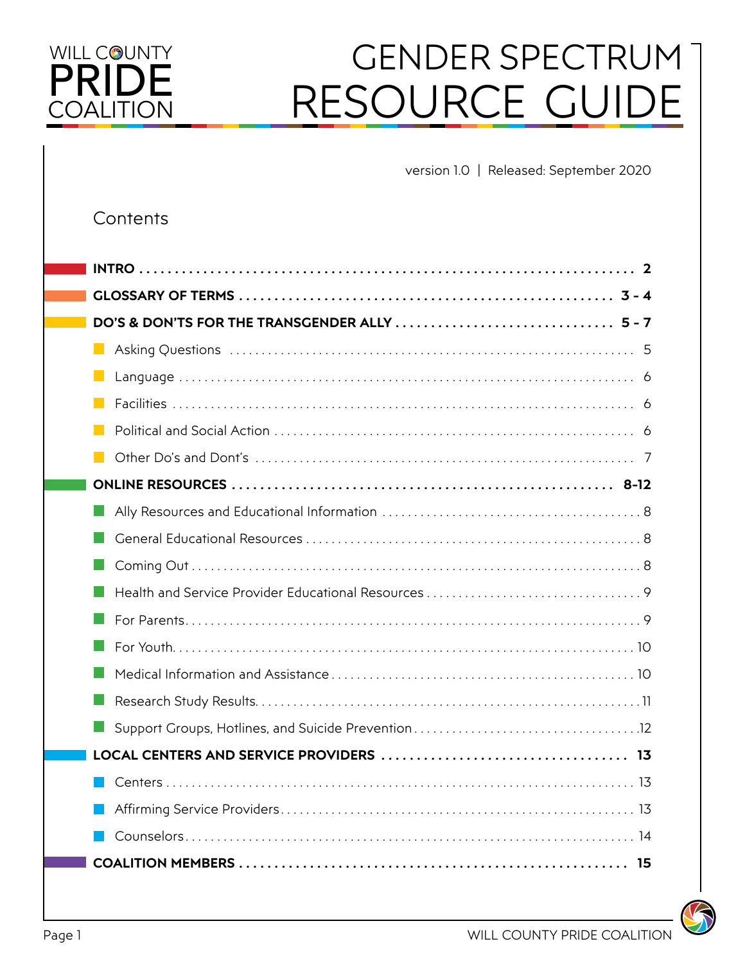# WILL COUNTY PRIDE **COALITION**

# GENDER SPECTRUM RESOURCE GUIDE

version 1.0 | Released: September 2020

# **Contents**

| 15 |
|----|

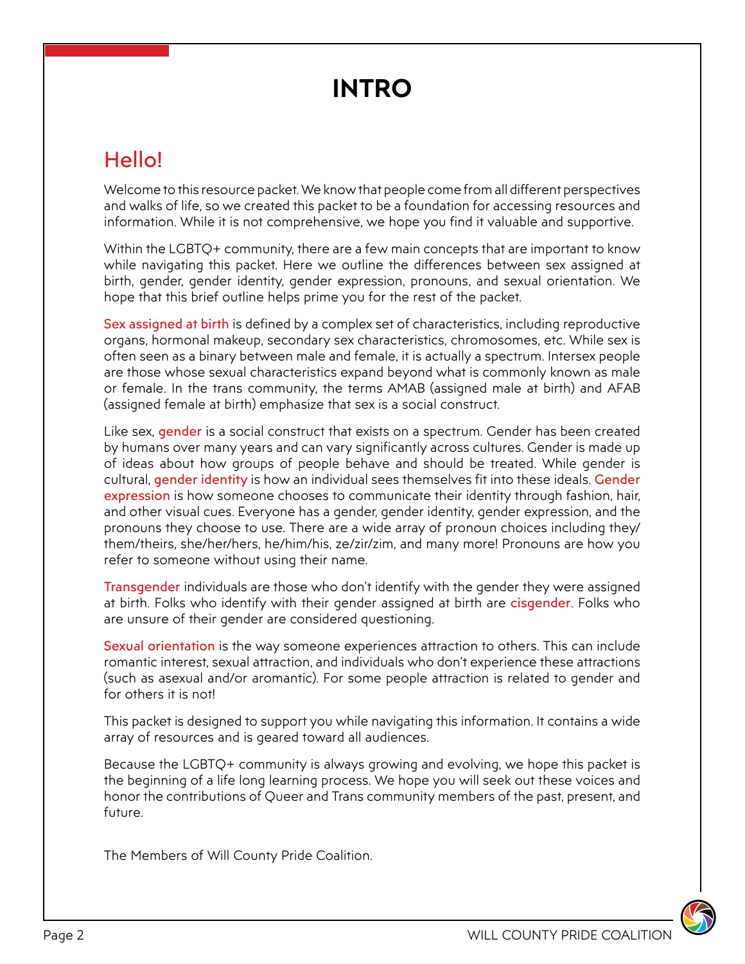# **INTRO**

# <span id="page-1-0"></span>**Hello!**

Welcome to this resource packet. We know that people come from all different perspectives and walks of life, so we created this packet to be a foundation for accessing resources and information. While it is not comprehensive, we hope you find it valuable and supportive.

Within the LGBTQ+ community, there are a few main concepts that are important to know while navigating this packet. Here we outline the differences between sex assigned at birth, gender, gender identity, gender expression, pronouns, and sexual orientation. We hope that this brief outline helps prime you for the rest of the packet.

Sex assigned at birth is defined by a complex set of characteristics, including reproductive organs, hormonal makeup, secondary sex characteristics, chromosomes, etc. While sex is often seen as a binary between male and female, it is actually a spectrum. Intersex people are those whose sexual characteristics expand beyond what is commonly known as male or female. In the trans community, the terms AMAB (assigned male at birth) and AFAB (assigned female at birth) emphasize that sex is a social construct.

Like sex, gender is a social construct that exists on a spectrum. Gender has been created by humans over many years and can vary significantly across cultures. Gender is made up of ideas about how groups of people behave and should be treated. While gender is cultural, gender identity is how an individual sees themselves fit into these ideals. Gender expression is how someone chooses to communicate their identity through fashion, hair, and other visual cues. Everyone has a gender, gender identity, gender expression, and the pronouns they choose to use. There are a wide array of pronoun choices including they/ them/theirs, she/her/hers, he/him/his, ze/zir/zim, and many more! Pronouns are how you refer to someone without using their name.

Transgender individuals are those who don't identify with the gender they were assigned at birth. Folks who identify with their gender assigned at birth are cisgender. Folks who are unsure of their gender are considered questioning.

Sexual orientation is the way someone experiences attraction to others. This can include romantic interest, sexual attraction, and individuals who don't experience these attractions (such as asexual and/or aromantic). For some people attraction is related to gender and for others it is not!

This packet is designed to support you while navigating this information. It contains a wide array of resources and is geared toward all audiences.

Because the LGBTQ+ community is always growing and evolving, we hope this packet is the beginning of a life long learning process. We hope you will seek out these voices and honor the contributions of Queer and Trans community members of the past, present, and future.

The Members of Will County Pride Coalition.

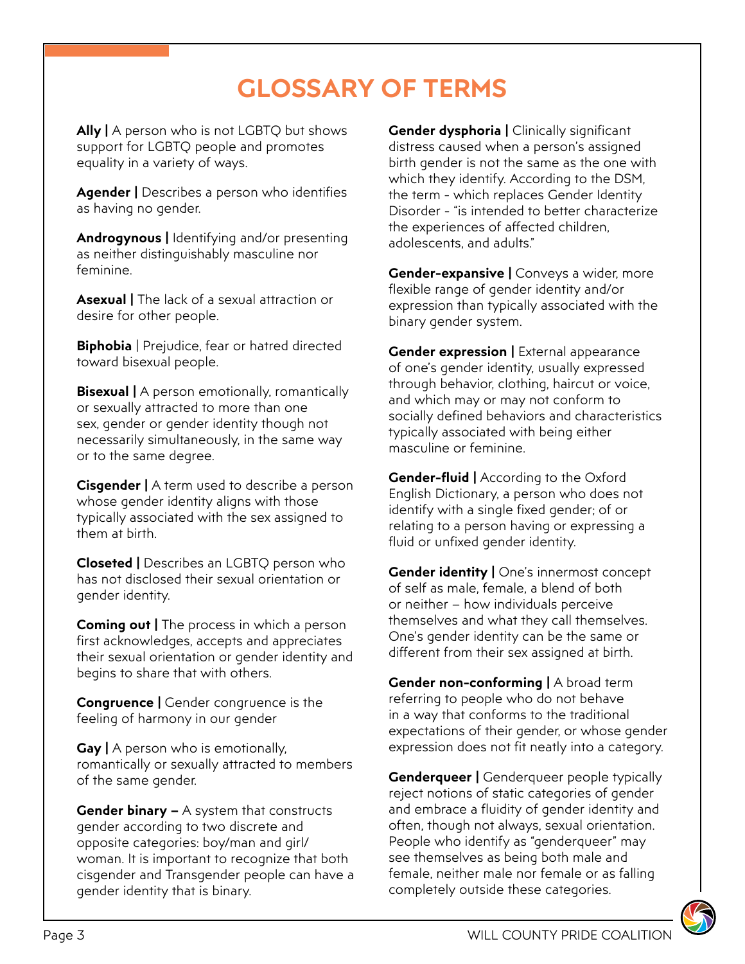# **GLOSSARY OF TERMS**

<span id="page-2-0"></span>**Ally |** A person who is not LGBTQ but shows support for LGBTQ people and promotes equality in a variety of ways.

**Agender |** Describes a person who identifies as having no gender.

**Androgynous |** Identifying and/or presenting as neither distinguishably masculine nor feminine.

**Asexual |** The lack of a sexual attraction or desire for other people.

**Biphobia** | Prejudice, fear or hatred directed toward bisexual people.

**Bisexual |** A person emotionally, romantically or sexually attracted to more than one sex, gender or gender identity though not necessarily simultaneously, in the same way or to the same degree.

**Cisgender |** A term used to describe a person whose gender identity aligns with those typically associated with the sex assigned to them at birth.

**Closeted |** Describes an LGBTQ person who has not disclosed their sexual orientation or gender identity.

**Coming out |** The process in which a person first acknowledges, accepts and appreciates their sexual orientation or gender identity and begins to share that with others.

**Congruence |** Gender congruence is the feeling of harmony in our gender

**Gay** | A person who is emotionally, romantically or sexually attracted to members of the same gender.

**Gender binary –** A system that constructs gender according to two discrete and opposite categories: boy/man and girl/ woman. It is important to recognize that both cisgender and Transgender people can have a gender identity that is binary.

**Gender dysphoria | Clinically significant** distress caused when a person's assigned birth gender is not the same as the one with which they identify. According to the DSM, the term - which replaces Gender Identity Disorder - "is intended to better characterize the experiences of affected children, adolescents, and adults."

**Gender-expansive |** Conveys a wider, more flexible range of gender identity and/or expression than typically associated with the binary gender system.

**Gender expression |** External appearance of one's gender identity, usually expressed through behavior, clothing, haircut or voice, and which may or may not conform to socially defined behaviors and characteristics typically associated with being either masculine or feminine.

**Gender-fluid |** According to the Oxford English Dictionary, a person who does not identify with a single fixed gender; of or relating to a person having or expressing a fluid or unfixed gender identity.

**Gender identity |** One's innermost concept of self as male, female, a blend of both or neither – how individuals perceive themselves and what they call themselves. One's gender identity can be the same or different from their sex assigned at birth.

**Gender non-conforming |** A broad term referring to people who do not behave in a way that conforms to the traditional expectations of their gender, or whose gender expression does not fit neatly into a category.

**Genderqueer |** Genderqueer people typically reject notions of static categories of gender and embrace a fluidity of gender identity and often, though not always, sexual orientation. People who identify as "genderqueer" may see themselves as being both male and female, neither male nor female or as falling completely outside these categories.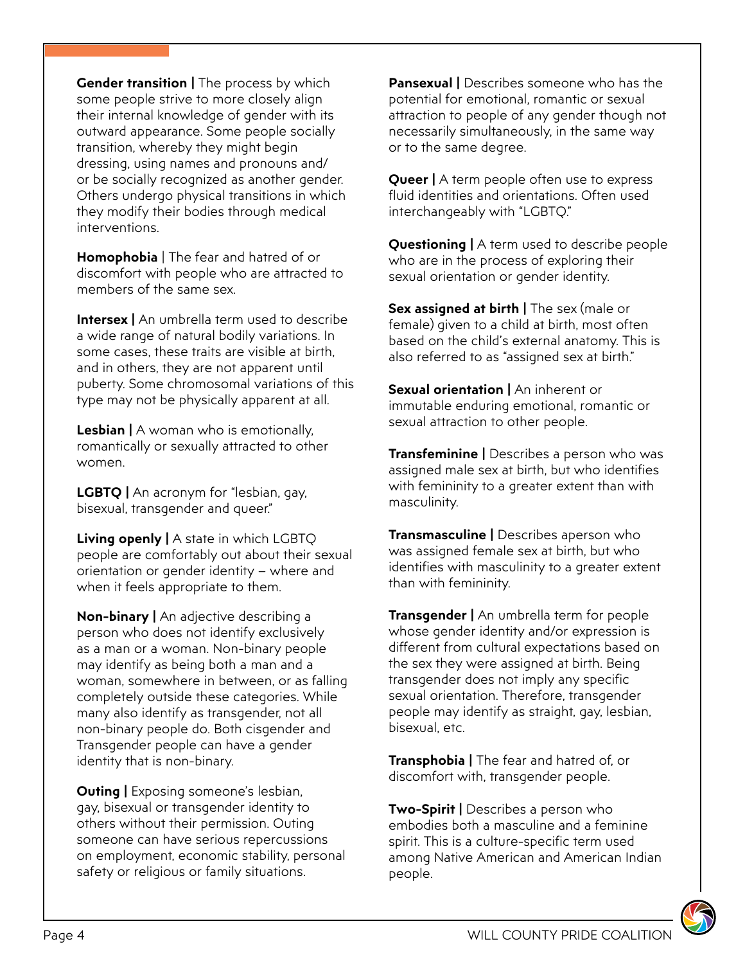**Gender transition | The process by which** some people strive to more closely align their internal knowledge of gender with its outward appearance. Some people socially transition, whereby they might begin dressing, using names and pronouns and/ or be socially recognized as another gender. Others undergo physical transitions in which they modify their bodies through medical interventions.

**Homophobia** | The fear and hatred of or discomfort with people who are attracted to members of the same sex.

**Intersex | An umbrella term used to describe** a wide range of natural bodily variations. In some cases, these traits are visible at birth, and in others, they are not apparent until puberty. Some chromosomal variations of this type may not be physically apparent at all.

**Lesbian |** A woman who is emotionally, romantically or sexually attracted to other women.

**LGBTQ |** An acronym for "lesbian, gay, bisexual, transgender and queer."

**Living openly |** A state in which LGBTQ people are comfortably out about their sexual orientation or gender identity – where and when it feels appropriate to them.

**Non-binary |** An adjective describing a person who does not identify exclusively as a man or a woman. Non-binary people may identify as being both a man and a woman, somewhere in between, or as falling completely outside these categories. While many also identify as transgender, not all non-binary people do. Both cisgender and Transgender people can have a gender identity that is non-binary.

**Outing |** Exposing someone's lesbian, gay, bisexual or transgender identity to others without their permission. Outing someone can have serious repercussions on employment, economic stability, personal safety or religious or family situations.

**Pansexual |** Describes someone who has the potential for emotional, romantic or sexual attraction to people of any gender though not necessarily simultaneously, in the same way or to the same degree.

**Queer |** A term people often use to express fluid identities and orientations. Often used interchangeably with "LGBTQ."

**Questioning |** A term used to describe people who are in the process of exploring their sexual orientation or gender identity.

Sex assigned at birth | The sex (male or female) given to a child at birth, most often based on the child's external anatomy. This is also referred to as "assigned sex at birth."

**Sexual orientation | An inherent or** immutable enduring emotional, romantic or sexual attraction to other people.

**Transfeminine |** Describes a person who was assigned male sex at birth, but who identifies with femininity to a greater extent than with masculinity.

**Transmasculine |** Describes aperson who was assigned female sex at birth, but who identifies with masculinity to a greater extent than with femininity.

**Transgender |** An umbrella term for people whose gender identity and/or expression is different from cultural expectations based on the sex they were assigned at birth. Being transgender does not imply any specific sexual orientation. Therefore, transgender people may identify as straight, gay, lesbian, bisexual, etc.

**Transphobia |** The fear and hatred of, or discomfort with, transgender people.

**Two-Spirit | Describes a person who** embodies both a masculine and a feminine spirit. This is a culture-specific term used among Native American and American Indian people.

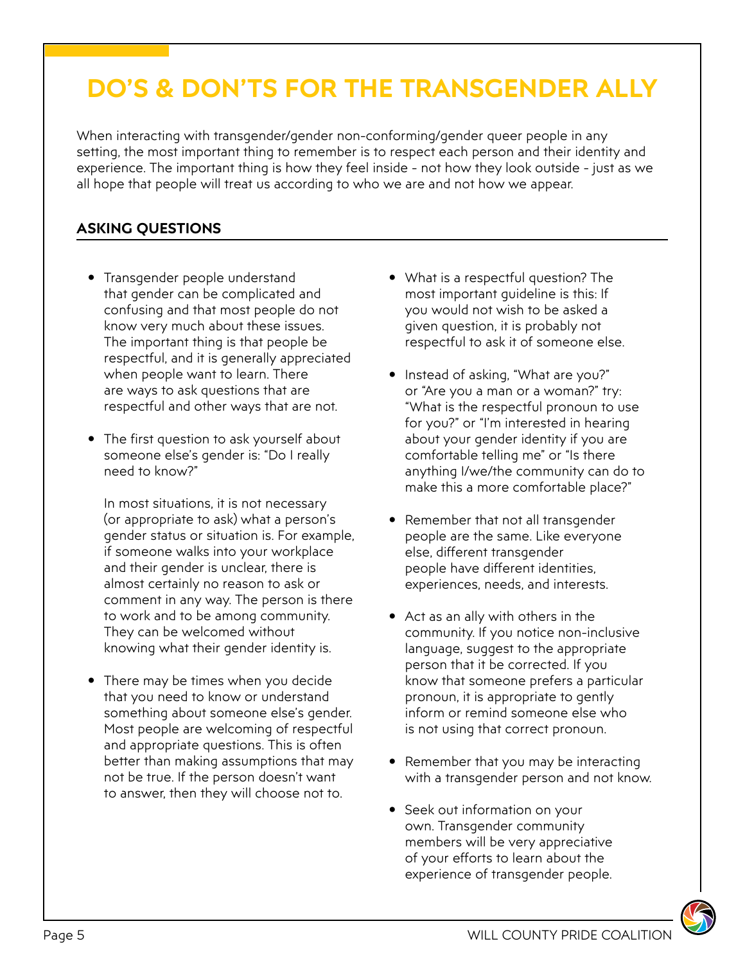# <span id="page-4-0"></span>**DO'S & DON'TS FOR THE TRANSGENDER ALLY**

When interacting with transgender/gender non-conforming/gender queer people in any setting, the most important thing to remember is to respect each person and their identity and experience. The important thing is how they feel inside - not how they look outside - just as we all hope that people will treat us according to who we are and not how we appear.

# **ASKING QUESTIONS**

- Transgender people understand that gender can be complicated and confusing and that most people do not know very much about these issues. The important thing is that people be respectful, and it is generally appreciated when people want to learn. There are ways to ask questions that are respectful and other ways that are not.
- The first question to ask yourself about someone else's gender is: "Do I really need to know?"

In most situations, it is not necessary (or appropriate to ask) what a person's gender status or situation is. For example, if someone walks into your workplace and their gender is unclear, there is almost certainly no reason to ask or comment in any way. The person is there to work and to be among community. They can be welcomed without knowing what their gender identity is.

• There may be times when you decide that you need to know or understand something about someone else's gender. Most people are welcoming of respectful and appropriate questions. This is often better than making assumptions that may not be true. If the person doesn't want to answer, then they will choose not to.

- $\bullet\;$  What is a respectful question? The most important guideline is this: If you would not wish to be asked a given question, it is probably not respectful to ask it of someone else.
- Instead of asking, "What are you?" or "Are you a man or a woman?" try: "What is the respectful pronoun to use for you?" or "I'm interested in hearing about your gender identity if you are comfortable telling me" or "Is there anything I/we/the community can do to make this a more comfortable place?"
- Remember that not all transgender people are the same. Like everyone else, different transgender people have different identities, experiences, needs, and interests.
- Act as an ally with others in the community. If you notice non-inclusive language, suggest to the appropriate person that it be corrected. If you know that someone prefers a particular pronoun, it is appropriate to gently inform or remind someone else who is not using that correct pronoun.
- Remember that you may be interacting with a transgender person and not know.
- Seek out information on your own. Transgender community members will be very appreciative of your efforts to learn about the experience of transgender people.

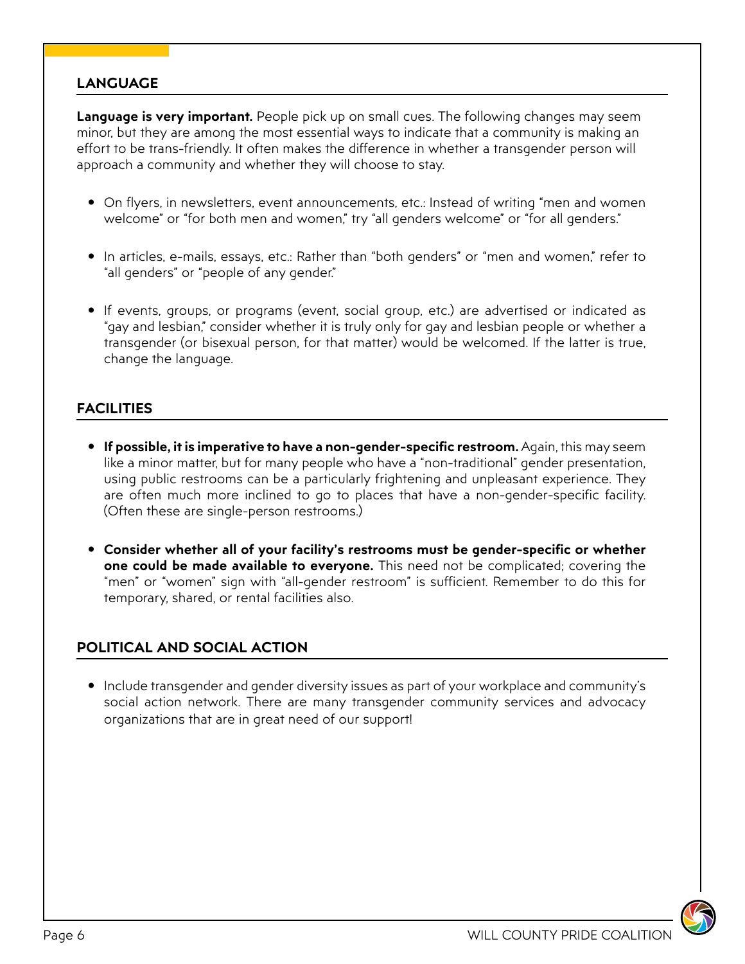### <span id="page-5-0"></span>**LANGUAGE**

**Language is very important.** People pick up on small cues. The following changes may seem minor, but they are among the most essential ways to indicate that a community is making an effort to be trans-friendly. It often makes the difference in whether a transgender person will approach a community and whether they will choose to stay.

- On flyers, in newsletters, event announcements, etc.: Instead of writing "men and women welcome" or "for both men and women," try "all genders welcome" or "for all genders."
- In articles, e-mails, essays, etc.: Rather than "both genders" or "men and women," refer to "all genders" or "people of any gender."
- If events, groups, or programs (event, social group, etc.) are advertised or indicated as "gay and lesbian," consider whether it is truly only for gay and lesbian people or whether a transgender (or bisexual person, for that matter) would be welcomed. If the latter is true, change the language.

# **FACILITIES**

- **If possible, it is imperative to have a non-gender-specific restroom.** Again, this may seem like a minor matter, but for many people who have a "non-traditional" gender presentation, using public restrooms can be a particularly frightening and unpleasant experience. They are often much more inclined to go to places that have a non-gender-specific facility. (Often these are single-person restrooms.)
- **Consider whether all of your facility's restrooms must be gender-specific or whether one could be made available to everyone.** This need not be complicated; covering the "men" or "women" sign with "all-gender restroom" is sufficient. Remember to do this for temporary, shared, or rental facilities also.

# **POLITICAL AND SOCIAL ACTION**

• Include transgender and gender diversity issues as part of your workplace and community's social action network. There are many transgender community services and advocacy organizations that are in great need of our support!

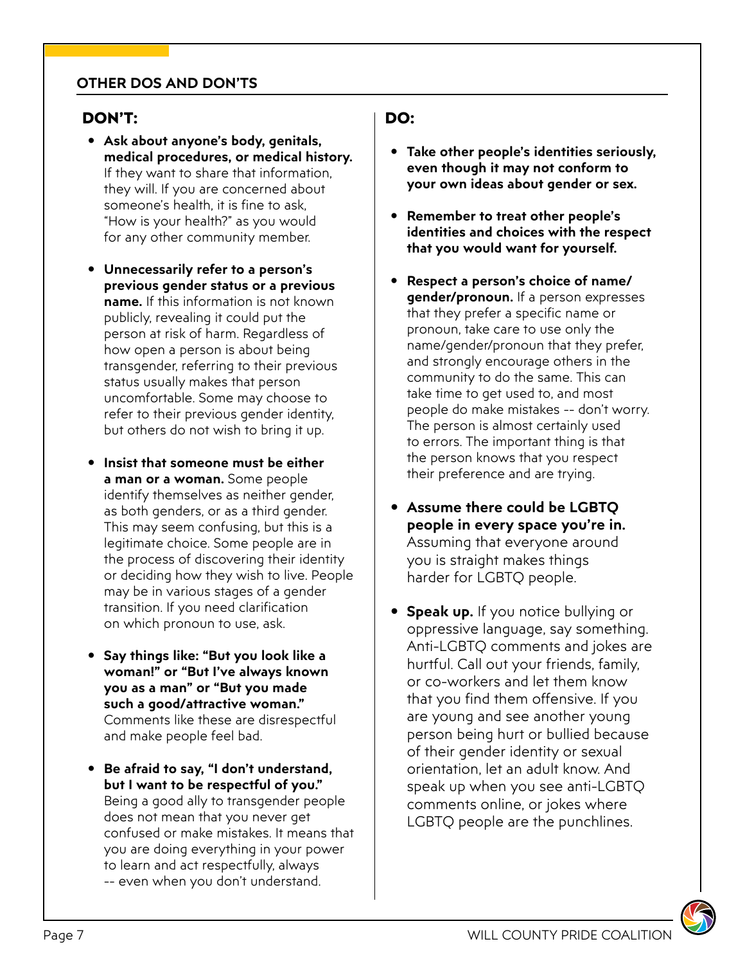# <span id="page-6-0"></span>**OTHER DOS AND DON'TS**

# **DON'T:**

- y **Ask about anyone's body, genitals, medical procedures, or medical history.** If they want to share that information, they will. If you are concerned about someone's health, it is fine to ask, "How is your health?" as you would for any other community member.
- y **Unnecessarily refer to a person's previous gender status or a previous name.** If this information is not known publicly, revealing it could put the person at risk of harm. Regardless of how open a person is about being transgender, referring to their previous status usually makes that person uncomfortable. Some may choose to refer to their previous gender identity, but others do not wish to bring it up.
- **•** Insist that someone must be either **a man or a woman.** Some people identify themselves as neither gender, as both genders, or as a third gender. This may seem confusing, but this is a legitimate choice. Some people are in the process of discovering their identity or deciding how they wish to live. People may be in various stages of a gender transition. If you need clarification on which pronoun to use, ask.
- y **Say things like: "But you look like a woman!" or "But I've always known you as a man" or "But you made such a good/attractive woman."**  Comments like these are disrespectful and make people feel bad.
- y **Be afraid to say, "I don't understand, but I want to be respectful of you."**  Being a good ally to transgender people does not mean that you never get confused or make mistakes. It means that you are doing everything in your power to learn and act respectfully, always -- even when you don't understand.

# **DO:**

- y **Take other people's identities seriously, even though it may not conform to your own ideas about gender or sex.**
- y **Remember to treat other people's identities and choices with the respect that you would want for yourself.**
- **Respect a person's choice of name/ gender/pronoun.** If a person expresses that they prefer a specific name or pronoun, take care to use only the name/gender/pronoun that they prefer, and strongly encourage others in the community to do the same. This can take time to get used to, and most people do make mistakes -- don't worry. The person is almost certainly used to errors. The important thing is that the person knows that you respect their preference and are trying.
- y **Assume there could be LGBTQ people in every space you're in.** Assuming that everyone around you is straight makes things harder for LGBTQ people.
- **Speak up.** If you notice bullying or oppressive language, say something. Anti-LGBTQ comments and jokes are hurtful. Call out your friends, family, or co-workers and let them know that you find them offensive. If you are young and see another young person being hurt or bullied because of their gender identity or sexual orientation, let an adult know. And speak up when you see anti-LGBTQ comments online, or jokes where LGBTQ people are the punchlines.

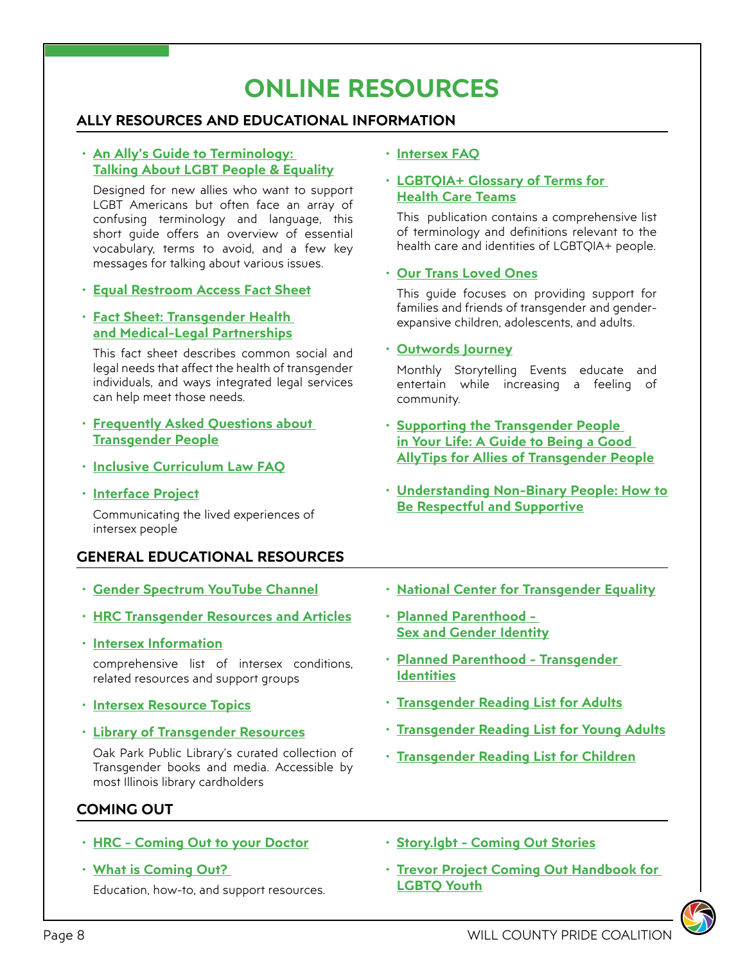# **ONLINE RESOURCES**

### <span id="page-7-0"></span>**ALLY RESOURCES AND EDUCATIONAL INFORMATION**

#### **• [An Ally's Guide to Terminology:](https://www.glaad.org/sites/default/files/allys-guide-to-terminology_1.pdf)  [Talking About LGBT People & Equality](https://www.glaad.org/sites/default/files/allys-guide-to-terminology_1.pdf)**

Designed for new allies who want to support LGBT Americans but often face an array of confusing terminology and language, this short guide offers an overview of essential vocabulary, terms to avoid, and a few key messages for talking about various issues.

**• [Equal Restroom Access Fact Sheet](https://drive.google.com/file/d/1TU8uTpu1jBNRUUXyoJ7BQ5s9Bpkql2xA/view?usp=sharing)**

**• [Fact Sheet: Transgender Health](https://www.lgbtqiahealtheducation.org/wp-content/uploads/2018/08/Transgender-Health-and-Medical-Legal-Partnership-1.pdf)  [and Medical-Legal Partnerships](https://www.lgbtqiahealtheducation.org/wp-content/uploads/2018/08/Transgender-Health-and-Medical-Legal-Partnership-1.pdf)**

This fact sheet describes common social and legal needs that affect the health of transgender individuals, and ways integrated legal services can help meet those needs.

- **• [Frequently Asked Questions about](https://transequality.org/issues/resources/understanding-transgender-people-faq)  [Transgender People](https://transequality.org/issues/resources/understanding-transgender-people-faq)**
- **• [Inclusive Curriculum Law FAQ](https://drive.google.com/file/d/1AZxcw--EKfHyn5_YNCcnYGXlt94rLOJc/view?usp=sharing)**
- **• [Interface Project](https://www.interfaceproject.org/stories)**

Communicating the lived experiences of intersex people

#### **GENERAL EDUCATIONAL RESOURCES**

- **• [Gender Spectrum YouTube Channel](https://www.youtube.com/user/genderspectrum)**
- **• [HRC Transgender Resources and Articles](https://www.hrc.org/resources/transgender)**
- **• [Intersex Information](http://www.isna.org/faq/conditions/know)**

comprehensive list of intersex conditions, related resources and support groups

- **• [Intersex Resource Topics](https://interactadvocates.org/resources/intersex-resource-topics/)**
- **• [Library of Transgender Resources](https://oppl.org/read-listen-watch/transgender-resource-collection/)**

Oak Park Public Library's curated collection of Transgender books and media. Accessible by most Illinois library cardholders

### **[COMING OUT](https://pflag.org/transkidsbooks)**

- **• [HRC Coming Out to your Doctor](https://www.hrc.org/resources/coming-out-to-your-doctor)**
- **• [What is Coming Out?](https://www.plannedparenthood.org/learn/sexual-orientation/sexual-orientation/whats-coming-out)**  Education, how-to, and support resources.
- **• [Intersex FAQ](https://www.interfaceproject.org/faqs)**
- **• [LGBTQIA+ Glossary of Terms for](https://www.lgbtqiahealtheducation.org/wp-content/uploads/2020/09/Glossary-2020.08.30.pdf)  [Health Care Teams](https://www.lgbtqiahealtheducation.org/wp-content/uploads/2020/09/Glossary-2020.08.30.pdf)**

This publication contains a comprehensive list of terminology and definitions relevant to the health care and identities of LGBTQIA+ people.

#### **• [Our Trans Loved Ones](https://drive.google.com/file/d/1a6fFVBVMGxZx0kw2KWan_52CD9GauCEm/view?usp=sharing)**

This guide focuses on providing support for families and friends of transgender and genderexpansive children, adolescents, and adults.

#### **• [Outwords Journey](https://outwords.org/)**

Monthly Storytelling Events educate and entertain while increasing a feeling of community.

- **• [Supporting the Transgender People](https://transequality.org/issues/resources/supporting-the-transgender-people-in-your-life-a-guide-to-being-a-good-ally)  [in Your Life: A Guide to Being a Good](https://transequality.org/issues/resources/supporting-the-transgender-people-in-your-life-a-guide-to-being-a-good-ally)  [Ally](https://transequality.org/issues/resources/supporting-the-transgender-people-in-your-life-a-guide-to-being-a-good-ally)[Tips for Allies of Transgender People](https://www.glaad.org/transgender/allies)**
- **• [Understanding Non-Binary People: How to](https://transequality.org/issues/resources/understanding-non-binary-people-how-to-be-respectful-and-supportive)  [Be Respectful and Supportive](https://transequality.org/issues/resources/understanding-non-binary-people-how-to-be-respectful-and-supportive)**
- **• [National Center for Transgender Equality](https://transequality.org/about-transgender)**
- **• [Planned Parenthood](https://www.plannedparenthood.org/learn/gender-identity/sex-gender-identity)  [Sex and Gender Identity](https://www.plannedparenthood.org/learn/gender-identity/sex-gender-identity)**
- **• Planned Parenthood Transgender Identities**
- **• [Transgender Reading List for Adults](https://pflag.org/resource/transgender-reading-list-adults)**
- **• [Transgender Reading List for Young Adults](https://pflag.org/resource/transgender-reading-list-young-adults)**
- **• [Transgender Reading List for Children](https://pflag.org/transkidsbooks)**
- **• [Story.lgbt Coming Out Stories](https://story.lgbt/)**
- **• [Trevor Project Coming Out Handbook for](https://www.thetrevorproject.org/wp-content/uploads/2019/10/Coming-Out-Handbook.pdf)  [LGBTQ Youth](https://www.thetrevorproject.org/wp-content/uploads/2019/10/Coming-Out-Handbook.pdf)**

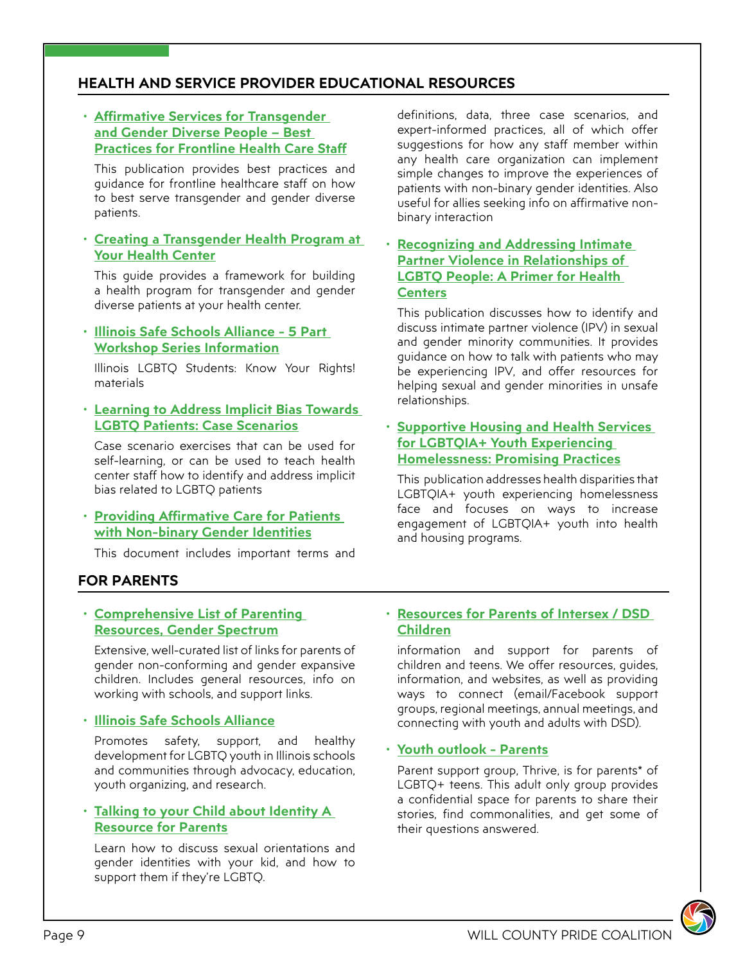# <span id="page-8-0"></span>**HEALTH AND SERVICE PROVIDER EDUCATIONAL RESOURCES**

#### **• [Affirmative Services for Transgender](https://www.lgbtqiahealtheducation.org/wp-content/uploads/2020/03/TFIE-40_Best-Practices-for-Frontline-Health-Care-Staff-Publication_web_final.pdf)  [and Gender Diverse People – Best](https://www.lgbtqiahealtheducation.org/wp-content/uploads/2020/03/TFIE-40_Best-Practices-for-Frontline-Health-Care-Staff-Publication_web_final.pdf)  [Practices for Frontline Health Care Staff](https://www.lgbtqiahealtheducation.org/wp-content/uploads/2020/03/TFIE-40_Best-Practices-for-Frontline-Health-Care-Staff-Publication_web_final.pdf)**

This publication provides best practices and guidance for frontline healthcare staff on how to best serve transgender and gender diverse patients.

#### **• [Creating a Transgender Health Program at](https://www.lgbtqiahealtheducation.org/wp-content/uploads/2018/10/Creating-a-Transgender-Health-Program.pdf)  [Your Health Center](https://www.lgbtqiahealtheducation.org/wp-content/uploads/2018/10/Creating-a-Transgender-Health-Program.pdf)**

This guide provides a framework for building a health program for transgender and gender diverse patients at your health center.

**• [Illinois Safe Schools Alliance - 5 Part](https://www.ilsafeschools.org/know-your-rights-en)  [Workshop Series Information](https://www.ilsafeschools.org/know-your-rights-en)**

Illinois LGBTQ Students: Know Your Rights! materials

#### **• [Learning to Address Implicit Bias Towards](https://www.lgbtqiahealtheducation.org/wp-content/uploads/2018/10/Implicit-Bias-Guide-2018_Final.pdf)  [LGBTQ Patients: Case Scenarios](https://www.lgbtqiahealtheducation.org/wp-content/uploads/2018/10/Implicit-Bias-Guide-2018_Final.pdf)**

Case scenario exercises that can be used for self-learning, or can be used to teach health center staff how to identify and address implicit bias related to LGBTQ patients

#### **• [Providing Affirmative Care for Patients](https://www.lgbtqiahealtheducation.org/wp-content/uploads/2017/02/Providing-Affirmative-Care-for-People-with-Non-Binary-Gender-Identities.pdf)  [with Non-binary Gender Identities](https://www.lgbtqiahealtheducation.org/wp-content/uploads/2017/02/Providing-Affirmative-Care-for-People-with-Non-Binary-Gender-Identities.pdf)**

This document includes important terms and

definitions, data, three case scenarios, and expert-informed practices, all of which offer suggestions for how any staff member within any health care organization can implement simple changes to improve the experiences of patients with non-binary gender identities. Also useful for allies seeking info on affirmative nonbinary interaction

#### **• [Recognizing and Addressing Intimate](https://www.lgbtqiahealtheducation.org/wp-content/uploads/2020/04/TFIR-158_Intimate-Partner-Violence-Brief_web_spreads.pdf)  [Partner Violence in Relationships of](https://www.lgbtqiahealtheducation.org/wp-content/uploads/2020/04/TFIR-158_Intimate-Partner-Violence-Brief_web_spreads.pdf)  [LGBTQ People: A Primer for Health](https://www.lgbtqiahealtheducation.org/wp-content/uploads/2020/04/TFIR-158_Intimate-Partner-Violence-Brief_web_spreads.pdf)  [Centers](https://www.lgbtqiahealtheducation.org/wp-content/uploads/2020/04/TFIR-158_Intimate-Partner-Violence-Brief_web_spreads.pdf)**

This publication discusses how to identify and discuss intimate partner violence (IPV) in sexual and gender minority communities. It provides guidance on how to talk with patients who may be experiencing IPV, and offer resources for helping sexual and gender minorities in unsafe relationships.

#### **• [Supportive Housing and Health Services](https://www.lgbtqiahealtheducation.org/wp-content/uploads/2020/07/Supportive-Housing-and-Health-Services-for-LGBTQIA-Youth-Experiencing-Homelessness.pdf)  [for LGBTQIA+ Youth Experiencing](https://www.lgbtqiahealtheducation.org/wp-content/uploads/2020/07/Supportive-Housing-and-Health-Services-for-LGBTQIA-Youth-Experiencing-Homelessness.pdf)  [Homelessness: Promising Practices](https://www.lgbtqiahealtheducation.org/wp-content/uploads/2020/07/Supportive-Housing-and-Health-Services-for-LGBTQIA-Youth-Experiencing-Homelessness.pdf)**

This publication addresses health disparities that LGBTQIA+ youth experiencing homelessness face and focuses on ways to increase engagement of LGBTQIA+ youth into health and housing programs.

# **FOR PARENTS**

#### **• [Comprehensive List of Parenting](https://genderspectrum.org/articles/parenting-resources)  [Resources, Gender Spectrum](https://genderspectrum.org/articles/parenting-resources)**

Extensive, well-curated list of links for parents of gender non-conforming and gender expansive children. Includes general resources, info on working with schools, and support links.

#### **• [Illinois Safe Schools Alliance](https://www.phimc.org/initiatives/alliance/)**

Promotes safety, support, and healthy development for LGBTQ youth in Illinois schools and communities through advocacy, education, youth organizing, and research.

#### **• [Talking to your Child about Identity A](https://www.plannedparenthood.org/learn/parents/identity)  [Resource for Parents](https://www.plannedparenthood.org/learn/parents/identity)**

Learn how to discuss sexual orientations and gender identities with your kid, and how to support them if they're LGBTQ.

#### **• [Resources for Parents of Intersex / DSD](http://aisdsd.org/resources/parentsfamilies/)  [Children](http://aisdsd.org/resources/parentsfamilies/)**

information and support for parents of children and teens. We offer resources, guides, information, and websites, as well as providing ways to connect (email/Facebook support groups, regional meetings, annual meetings, and connecting with youth and adults with DSD).

#### **• [Youth outlook - Parents](https://youth-outlook.org/services/parents/)**

Parent support group, Thrive, is for parents\* of LGBTQ+ teens. This adult only group provides a confidential space for parents to share their stories, find commonalities, and get some of their questions answered.

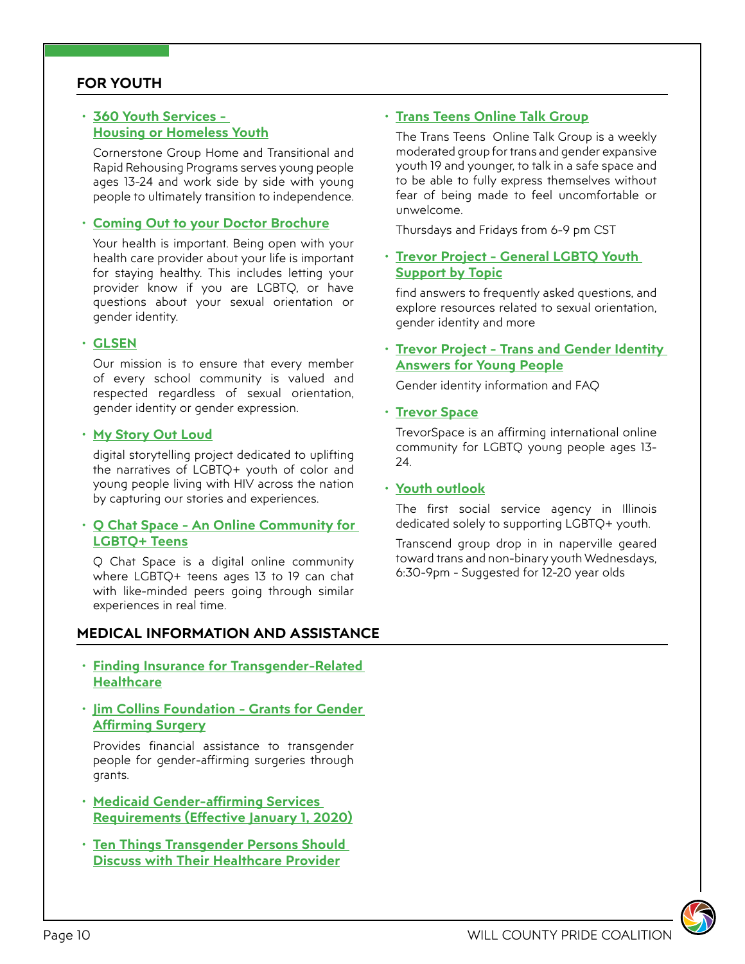### **FOR YOUTH**

#### **• [360 Youth Services -](https://360youthservices.org/housing/)  [Housing or Homeless Youth](https://360youthservices.org/housing/)**

Cornerstone Group Home and Transitional and Rapid Rehousing Programs serves young people ages 13-24 and work side by side with young people to ultimately transition to independence.

#### **• [Coming Out to your Doctor Brochure](https://www.lgbtqiahealtheducation.org/wp-content/uploads/DADT-Youth-Brochure-Final-English.pdf)**

[Your health is important. Being open with your](https://www.lgbtqiahealtheducation.org/wp-content/uploads/DADT-Youth-Brochure-Final-English.pdf)  [health care provider about your life is important](https://www.lgbtqiahealtheducation.org/wp-content/uploads/DADT-Youth-Brochure-Final-English.pdf)  [for staying healthy. This includes letting your](https://www.lgbtqiahealtheducation.org/wp-content/uploads/DADT-Youth-Brochure-Final-English.pdf)  [provider know if you are LGBTQ, or have](https://www.lgbtqiahealtheducation.org/wp-content/uploads/DADT-Youth-Brochure-Final-English.pdf)  [questions about your sexual orientation or](https://www.lgbtqiahealtheducation.org/wp-content/uploads/DADT-Youth-Brochure-Final-English.pdf)  [gender identity.](https://www.lgbtqiahealtheducation.org/wp-content/uploads/DADT-Youth-Brochure-Final-English.pdf)

#### **• [GLSEN](https://www.glsen.org/)**

Our mission is to ensure that every member of every school community is valued and respected regardless of sexual orientation, gender identity or gender expression.

#### **• [My Story Out Loud](https://mystoryoutloud.org/)**

digital storytelling project dedicated to uplifting the narratives of LGBTQ+ youth of color and young people living with HIV across the nation by capturing our stories and experiences.

#### **• [Q Chat Space - An Online Community for](https://www.qchatspace.org/)  [LGBTQ+ Teens](https://www.qchatspace.org/)**

Q Chat Space is a digital online community where LGBTQ+ teens ages 13 to 19 can chat with like-minded peers going through similar experiences in real time.

#### **MEDICAL INFORMATION AND ASSISTANCE**

- **• [Finding Insurance for Transgender-Related](https://www.hrc.org/resources/finding-insurance-for-transgender-related-healthcare)  [Healthcare](https://www.hrc.org/resources/finding-insurance-for-transgender-related-healthcare)**
- **• [Jim Collins Foundation Grants for Gender](https://jimcollinsfoundation.org/)  [Affirming Surgery](https://jimcollinsfoundation.org/)**

Provides financial assistance to transgender people for gender-affirming surgeries through grants.

- **• [Medicaid Gender-affirming Services](https://www.illinois.gov/hfs/MedicalProviders/notices/Pages/prn200109a.aspx)  [Requirements \(Effective January 1, 2020\)](https://www.illinois.gov/hfs/MedicalProviders/notices/Pages/prn200109a.aspx)**
- **• [Ten Things Transgender Persons Should](http://www.glma.org/_data/n_0001/resources/live/Top%2010%20fortransgndr.pdf)  [Discuss with Their Healthcare Provider](http://www.glma.org/_data/n_0001/resources/live/Top%2010%20fortransgndr.pdf)**

#### **• [Trans Teens Online Talk Group](https://www.glbthotline.org/transteens.html)**

The Trans Teens Online Talk Group is a weekly moderated group for trans and gender expansive youth 19 and younger, to talk in a safe space and to be able to fully express themselves without fear of being made to feel uncomfortable or unwelcome.

Thursdays and Fridays from 6-9 pm CST

**• [Trevor Project - General LGBTQ Youth](https://www.thetrevorproject.org/resources/trevor-support-center/)  [Support by Topic](https://www.thetrevorproject.org/resources/trevor-support-center/)**

find answers to frequently asked questions, and explore resources related to sexual orientation, gender identity and more

#### **• [Trevor Project - Trans and Gender Identity](https://www.thetrevorproject.org/trvr_support_center/trans-gender-identity/)  [Answers for Young People](https://www.thetrevorproject.org/trvr_support_center/trans-gender-identity/)**

Gender identity information and FAQ

**• [Trevor Space](https://www.trevorspace.org)**

TrevorSpace is an affirming international online community for LGBTQ young people ages 13- 24.

#### **• [Youth outlook](https://youth-outlook.org/)**

The first social service agency in Illinois dedicated solely to supporting LGBTQ+ youth.

Transcend group drop in in naperville geared toward trans and non-binary youth Wednesdays, 6:30-9pm - Suggested for 12-20 year olds

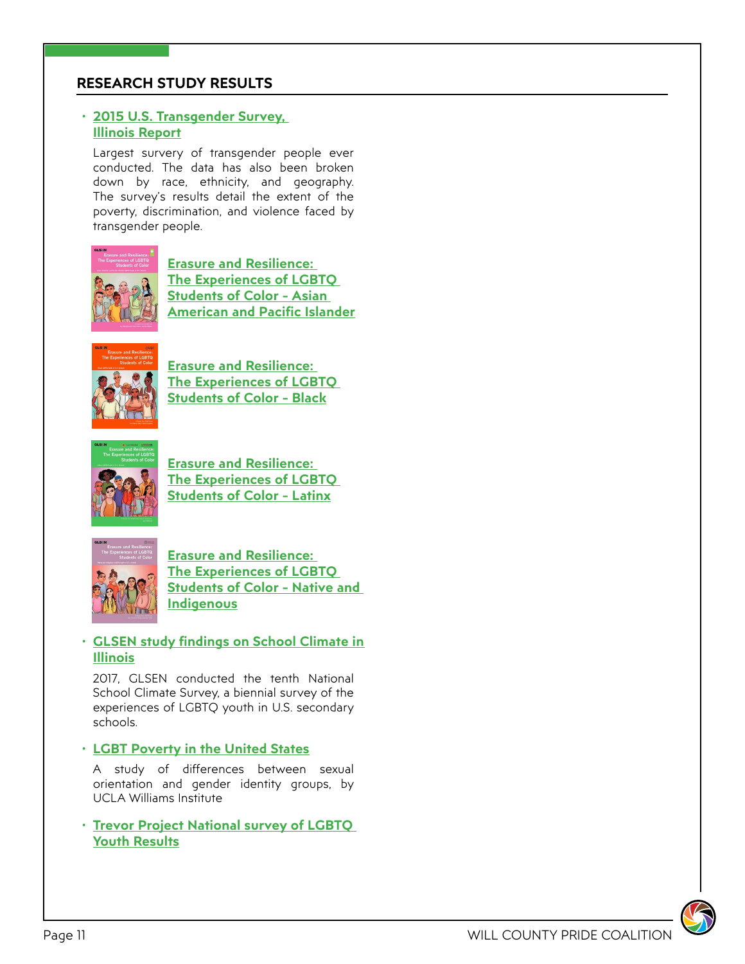# <span id="page-10-0"></span>**RESEARCH STUDY RESULTS**

#### **• 2015 U.S. Transgender Survey, Illinois Report**

Largest survery of transgender people ever conducted. The data has also been broken down by race, ethnicity, and geography. The survey's results detail the extent of the poverty, discrimination, and violence faced by transgender people.



**[Erasure and Resilience:](https://www.glsen.org/research/aapi-lgbtq-students)  [The Experiences of LGBTQ](https://www.glsen.org/research/aapi-lgbtq-students)  [Students of Color - Asian](https://www.glsen.org/research/aapi-lgbtq-students)  [American and Pacific Islander](https://www.glsen.org/research/aapi-lgbtq-students)**



**[Erasure and Resilience:](https://www.glsen.org/research/black-lgbtq-students)  [The Experiences of LGBTQ](https://www.glsen.org/research/black-lgbtq-students)  [Students of Color - Black](https://www.glsen.org/research/black-lgbtq-students)**



**[Erasure and Resilience:](https://www.glsen.org/research/latinx-lgbtq-students)  [The Experiences of LGBTQ](https://www.glsen.org/research/latinx-lgbtq-students)  [Students of Color - Latinx](https://www.glsen.org/research/latinx-lgbtq-students)**



**[Erasure and Resilience:](https://www.glsen.org/research/native-and-indigenous-lgbtq-students)  [The Experiences of LGBTQ](https://www.glsen.org/research/native-and-indigenous-lgbtq-students)  [Students of Color - Native and](https://www.glsen.org/research/native-and-indigenous-lgbtq-students)  [Indigenous](https://www.glsen.org/research/native-and-indigenous-lgbtq-students)**

**• [GLSEN study findings on School Climate in](https://drive.google.com/file/d/133aFt9msmMaV5MMzhbBGoD-WAlWGc-vu/view?usp=sharing)  [Illinois](https://drive.google.com/file/d/133aFt9msmMaV5MMzhbBGoD-WAlWGc-vu/view?usp=sharing)**

2017, GLSEN conducted the tenth National School Climate Survey, a biennial survey of the experiences of LGBTQ youth in U.S. secondary schools.

**• [LGBT Poverty in the United States](https://drive.google.com/file/d/1vmBL6YPMeMa4FACEmc-Fd_kkff-cM0rS/view?usp=sharing)**

A study of differences between sexual orientation and gender identity groups, by UCLA Williams Institute

**• [Trevor Project National survey of LGBTQ](https://www.thetrevorproject.org/survey-2020/?section=Discrimination-Physical-Harm)  [Youth Results](https://www.thetrevorproject.org/survey-2020/?section=Discrimination-Physical-Harm)**

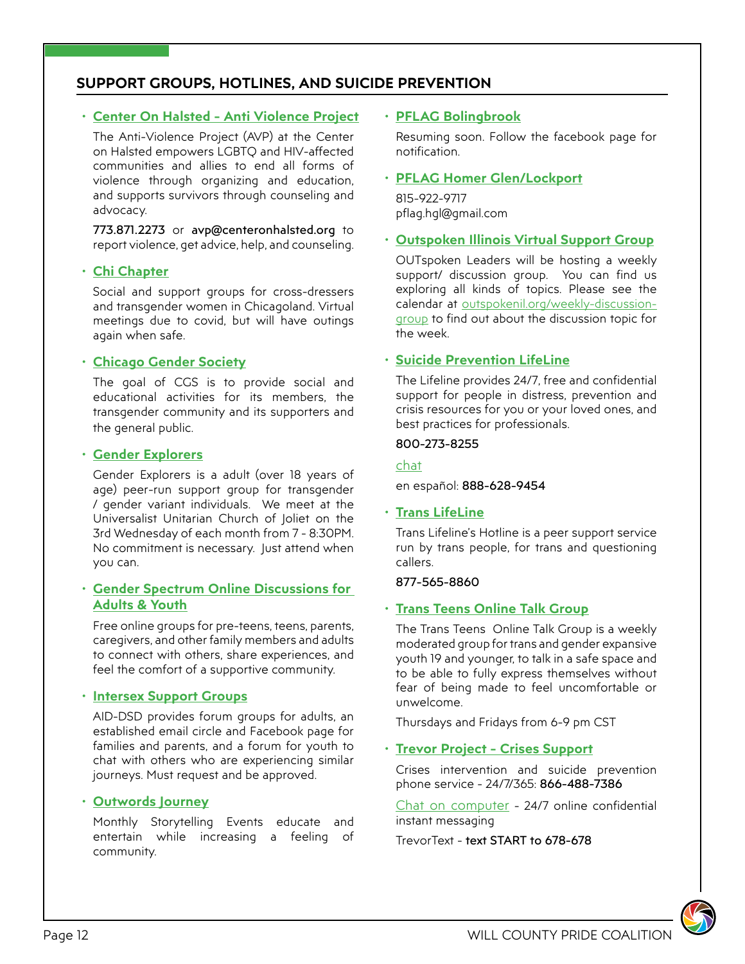### <span id="page-11-0"></span>**SUPPORT GROUPS, HOTLINES, AND SUICIDE PREVENTION**

#### **• [Center On Halsted - Anti Violence Project](https://www.centeronhalsted.org/AVP.html)**

The Anti-Violence Project (AVP) at the Center on Halsted empowers LGBTQ and HIV-affected communities and allies to end all forms of violence through organizing and education, and supports survivors through counseling and advocacy.

773.871.2273 or avp@centeronhalsted.org to report violence, get advice, help, and counseling.

#### **• [Chi Chapter](http://chi-chapter.org/)**

Social and support groups for cross-dressers and transgender women in Chicagoland. Virtual meetings due to covid, but will have outings again when safe.

#### **• [Chicago Gender Society](chicagogender.com)**

The goal of CGS is to provide social and educational activities for its members, the transgender community and its supporters and the general public.

#### **• [Gender Explorers](https://www.genderexplorersjoliet.com/)**

Gender Explorers is a adult (over 18 years of age) peer-run support group for transgender / gender variant individuals. We meet at the Universalist Unitarian Church of Joliet on the 3rd Wednesday of each month from 7 - 8:30PM. No commitment is necessary. Just attend when you can.

#### **• [Gender Spectrum Online Discussions for](https://genderspectrum.org/articles/gender-spectrum-groups)  [Adults & Youth](https://genderspectrum.org/articles/gender-spectrum-groups)**

Free online groups for pre-teens, teens, parents, caregivers, and other family members and adults to connect with others, share experiences, and feel the comfort of a supportive community.

#### **• [Intersex Support Groups](http://aisdsd.org/what-we-do/peer-support/)**

AID-DSD provides forum groups for adults, an established email circle and Facebook page for families and parents, and a forum for youth to chat with others who are experiencing similar journeys. Must request and be approved.

#### **• [Outwords Journey](https://outwords.org/)**

Monthly Storytelling Events educate and entertain while increasing a feeling of community.

#### **• [PFLAG Bolingbrook](https://www.facebook.com/groups/262508361197573)**

Resuming soon. Follow the facebook page for notification.

**• [PFLAG Homer Glen/Lockport](https://www.facebook.com/pages/category/Nonprofit-Organization/Pflag-Homer-Glen-Lockport-846141769088428/)**

815-922-9717 pflag.hgl@gmail.com

**• Outspoken Illinois Virtual Support Group**

OUTspoken Leaders will be hosting a weekly support/ discussion group. You can find us exploring all kinds of topics. Please see the calendar at [outspokenil.org/weekly-discussion](http://outspokenil.org/weekly-discussion-group)[group](http://outspokenil.org/weekly-discussion-group) to find out about the discussion topic for the week.

#### **• Suicide Prevention LifeLine**

The Lifeline provides 24/7, free and confidential support for people in distress, prevention and crisis resources for you or your loved ones, and best practices for professionals.

#### 800-273-8255

[chat](https://suicidepreventionlifeline.org/chat/) 

en español: 888-628-9454

#### **• [Trans LifeLine](https://translifeline.org/hotline)**

Trans Lifeline's Hotline is a peer support service run by trans people, for trans and questioning callers.

#### 877-565-8860

#### **• [Trans Teens Online Talk Group](https://www.glbthotline.org/transteens.html)**

The Trans Teens Online Talk Group is a weekly moderated group for trans and gender expansive youth 19 and younger, to talk in a safe space and to be able to fully express themselves without fear of being made to feel uncomfortable or unwelcome.

Thursdays and Fridays from 6-9 pm CST

#### **• [Trevor Project - Crises Support](https://www.thetrevorproject.org/get-help-now/)**

Crises intervention and suicide prevention phone service - 24/7/365: 866-488-7386

[Chat on computer](https://trevorproject.secure.force.com/apex/TrevorChatPreChatForm?endpoint=https%3A%2F%2Ftrevorproject.secure.force.com%2Fapex%2FTrevorChatWaitingScreen%3Flanguage%3D%23deployment_id%3D57241000000LPlc%26org_id%3D00D410000005OLz%26button_id%3D57341000000LTDX%26session_id%3DzFwm13Jl75j+Hg==) - 24/7 online confidential instant messaging

#### TrevorText - text START to 678-678

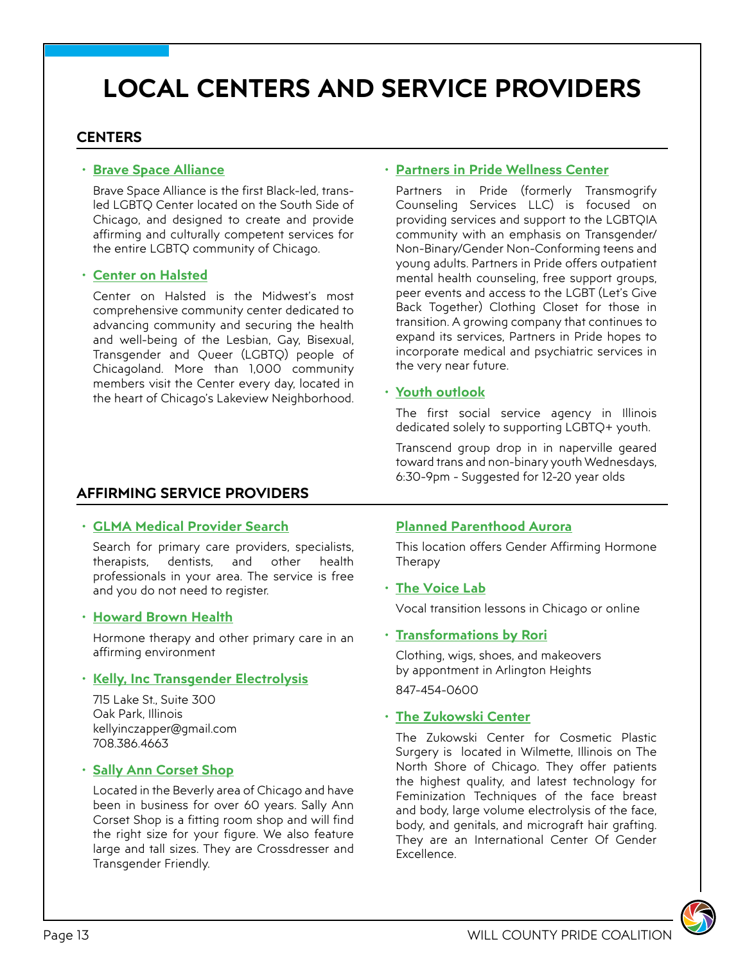# <span id="page-12-0"></span>**LOCAL CENTERS AND SERVICE PROVIDERS**

#### **CENTERS**

#### **• [Brave Space Alliance](https://www.bravespacealliance.org)**

Brave Space Alliance is the first Black-led, transled LGBTQ Center located on the South Side of Chicago, and designed to create and provide affirming and culturally competent services for the entire LGBTQ community of Chicago.

#### **• [Center on Halsted](centeronhalsted.com)**

Center on Halsted is the Midwest's most comprehensive community center dedicated to advancing community and securing the health and well-being of the Lesbian, Gay, Bisexual, Transgender and Queer (LGBTQ) people of Chicagoland. More than 1,000 community members visit the Center every day, located in the heart of Chicago's Lakeview Neighborhood.

#### **AFFIRMING SERVICE PROVIDERS**

#### **• [GLMA Medical Provider Search](http://www.glma.org/index.cfm?fuseaction=Page.viewPage&pageId=939&grandparentID=534&parentID=938&nodeID=1)**

Search for primary care providers, specialists, therapists, dentists, and other health professionals in your area. The service is free and you do not need to register.

#### **• [Howard Brown Health](https://howardbrown.org/service/trans-gender-nonconforming-health/)**

Hormone therapy and other primary care in an affirming environment

#### **• [Kelly, Inc Transgender Electrolysis](http://www.izapem.com/hair-removal.html)**

715 Lake St., Suite 300 Oak Park, Illinois kellyinczapper@gmail.com 708.386.4663

#### **• [Sally Ann Corset Shop](https://sallyanncorsetshop.com/)**

Located in the Beverly area of Chicago and have been in business for over 60 years. Sally Ann Corset Shop is a fitting room shop and will find the right size for your figure. We also feature large and tall sizes. They are Crossdresser and Transgender Friendly.

#### **• [Partners in Pride Wellness Center](https://www.facebook.com/mypartnersinpride)**

Partners in Pride (formerly Transmogrify Counseling Services LLC) is focused on providing services and support to the LGBTQIA community with an emphasis on Transgender/ Non-Binary/Gender Non-Conforming teens and young adults. Partners in Pride offers outpatient mental health counseling, free support groups, peer events and access to the LGBT (Let's Give Back Together) Clothing Closet for those in transition. A growing company that continues to expand its services, Partners in Pride hopes to incorporate medical and psychiatric services in the very near future.

#### **• [Youth outlook](https://youth-outlook.org/)**

The first social service agency in Illinois dedicated solely to supporting LGBTQ+ youth.

Transcend group drop in in naperville geared toward trans and non-binary youth Wednesdays, 6:30-9pm - Suggested for 12-20 year olds

#### **[Planned Parenthood Aurora](https://www.plannedparenthood.org/health-center/illinois/aurora/60504/aurora-health-center-3483-90430/lgbtq)**

This location offers Gender Affirming Hormone Therapy

**• [The Voice Lab](https://www.thevoicelabinc.com/transvoice.html)**

Vocal transition lessons in Chicago or online

**• [Transformations by Rori](https://www.transformationsbyrori.com)**

Clothing, wigs, shoes, and makeovers by appontment in Arlington Heights

847-454-0600

#### **• [The Zukowski Center](https://www.mlzukowskiffs.com/)**

The Zukowski Center for Cosmetic Plastic Surgery is located in Wilmette, Illinois on The North Shore of Chicago. They offer patients the highest quality, and latest technology for Feminization Techniques of the face breast and body, large volume electrolysis of the face, body, and genitals, and micrograft hair grafting. They are an International Center Of Gender Excellence.

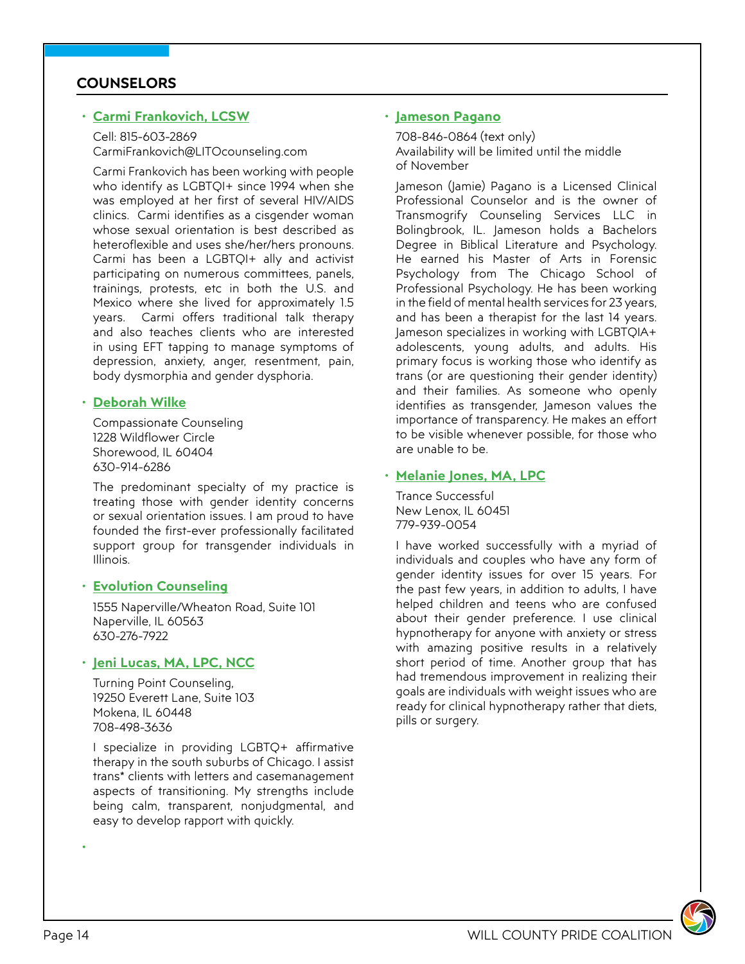### <span id="page-13-0"></span>**COUNSELORS**

#### **• [Carmi Frankovich, LCSW](https://litocounseling.com/)**

Cell: 815-603-2869 CarmiFrankovich@LITOcounseling.com

Carmi Frankovich has been working with people who identify as LGBTOI+ since 1994 when she was employed at her first of several HIV/AIDS clinics. Carmi identifies as a cisgender woman whose sexual orientation is best described as heteroflexible and uses she/her/hers pronouns. Carmi has been a LGBTQI+ ally and activist participating on numerous committees, panels, trainings, protests, etc in both the U.S. and Mexico where she lived for approximately 1.5 years. Carmi offers traditional talk therapy and also teaches clients who are interested in using EFT tapping to manage symptoms of depression, anxiety, anger, resentment, pain, body dysmorphia and gender dysphoria.

#### **• [Deborah Wilke](https://www.psychologytoday.com/us/therapists/deborah-wilke-shorewood-il/145089)**

Compassionate Counseling 1228 Wildflower Circle Shorewood, IL 60404 630-914-6286

The predominant specialty of my practice is treating those with gender identity concerns or sexual orientation issues. I am proud to have founded the first-ever professionally facilitated support group for transgender individuals in Illinois.

#### **• [Evolution Counseling](https://www.evolutioncounselinginc.com/services)**

1555 Naperville/Wheaton Road, Suite 101 Naperville, IL 60563 630-276-7922

#### **• [Jeni Lucas, MA, LPC, NCC](https://www.psychologytoday.com/us/therapists/transgender/il/will-county/353858?sid=5f5eb1dc82fda&ref=2&tr=ResultsName)**

Turning Point Counseling, 19250 Everett Lane, Suite 103 Mokena, IL 60448 708-498-3636

I specialize in providing LGBTQ+ affirmative therapy in the south suburbs of Chicago. I assist trans\* clients with letters and casemanagement aspects of transitioning. My strengths include being calm, transparent, nonjudgmental, and easy to develop rapport with quickly.

#### **• Jameson Pagano**

708-846-0864 (text only) Availability will be limited until the middle of November

Jameson (Jamie) Pagano is a Licensed Clinical Professional Counselor and is the owner of Transmogrify Counseling Services LLC in Bolingbrook, IL. Jameson holds a Bachelors Degree in Biblical Literature and Psychology. He earned his Master of Arts in Forensic Psychology from The Chicago School of Professional Psychology. He has been working in the field of mental health services for 23 years, and has been a therapist for the last 14 years. Jameson specializes in working with LGBTQIA+ adolescents, young adults, and adults. His primary focus is working those who identify as trans (or are questioning their gender identity) and their families. As someone who openly identifies as transgender, Jameson values the importance of transparency. He makes an effort to be visible whenever possible, for those who are unable to be.

#### **• [Melanie Jones, MA, LPC](https://www.psychologytoday.com/us/therapists/melanie-griffis-jones-new-lenox-il/114566)**

Trance Successful New Lenox, IL 60451 779-939-0054

I have worked successfully with a myriad of individuals and couples who have any form of gender identity issues for over 15 years. For the past few years, in addition to adults, I have helped children and teens who are confused about their gender preference. I use clinical hypnotherapy for anyone with anxiety or stress with amazing positive results in a relatively short period of time. Another group that has had tremendous improvement in realizing their goals are individuals with weight issues who are ready for clinical hypnotherapy rather that diets, pills or surgery.

**•**